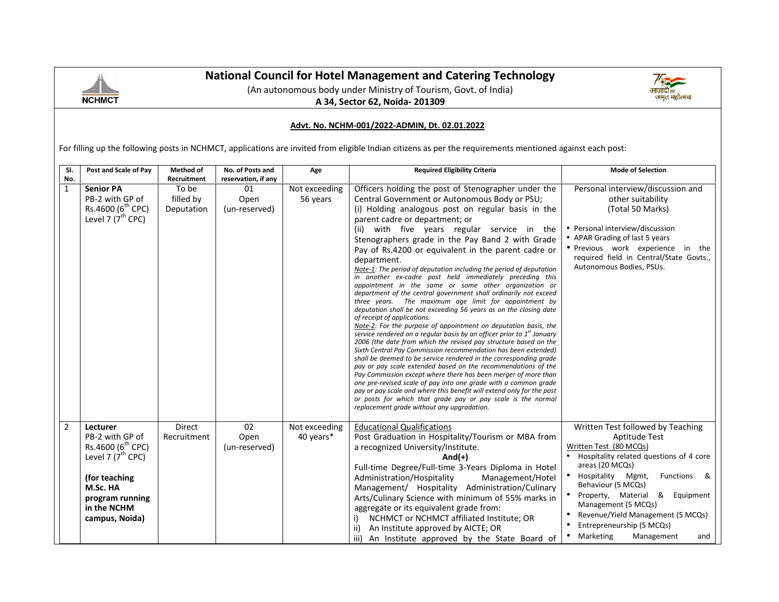

### **National Council for Hotel Management and Catering Technology Council**



#### **Advt. No. NCHM-001/2022-ADMIN, Dt. 02.01.2022**

|                                                                                                                                                           | <b>NCHMCT</b>                                                                                                                                                                  | <b>National Council for Hotel Management and Catering Technology</b> |                                         |                            |                                                                                                                                                                                                                                                                                                                                                                                                                                                                                                                                                                                                                                                                                                                                                                                                                                                                                                                                                                                                                                                                                                                                                                                                                                                                                                                                                                                                                                                                                                                                                                     |                                                                                                                                                                                                                                                                                                                                         |  |  |  |  |  |  |
|-----------------------------------------------------------------------------------------------------------------------------------------------------------|--------------------------------------------------------------------------------------------------------------------------------------------------------------------------------|----------------------------------------------------------------------|-----------------------------------------|----------------------------|---------------------------------------------------------------------------------------------------------------------------------------------------------------------------------------------------------------------------------------------------------------------------------------------------------------------------------------------------------------------------------------------------------------------------------------------------------------------------------------------------------------------------------------------------------------------------------------------------------------------------------------------------------------------------------------------------------------------------------------------------------------------------------------------------------------------------------------------------------------------------------------------------------------------------------------------------------------------------------------------------------------------------------------------------------------------------------------------------------------------------------------------------------------------------------------------------------------------------------------------------------------------------------------------------------------------------------------------------------------------------------------------------------------------------------------------------------------------------------------------------------------------------------------------------------------------|-----------------------------------------------------------------------------------------------------------------------------------------------------------------------------------------------------------------------------------------------------------------------------------------------------------------------------------------|--|--|--|--|--|--|
|                                                                                                                                                           | Advt. No. NCHM-001/2022-ADMIN, Dt. 02.01.2022                                                                                                                                  |                                                                      |                                         |                            |                                                                                                                                                                                                                                                                                                                                                                                                                                                                                                                                                                                                                                                                                                                                                                                                                                                                                                                                                                                                                                                                                                                                                                                                                                                                                                                                                                                                                                                                                                                                                                     |                                                                                                                                                                                                                                                                                                                                         |  |  |  |  |  |  |
| For filling up the following posts in NCHMCT, applications are invited from eligible Indian citizens as per the requirements mentioned against each post: |                                                                                                                                                                                |                                                                      |                                         |                            |                                                                                                                                                                                                                                                                                                                                                                                                                                                                                                                                                                                                                                                                                                                                                                                                                                                                                                                                                                                                                                                                                                                                                                                                                                                                                                                                                                                                                                                                                                                                                                     |                                                                                                                                                                                                                                                                                                                                         |  |  |  |  |  |  |
| SI.<br>No.                                                                                                                                                | Post and Scale of Pay                                                                                                                                                          | Method of<br>Recruitment                                             | No. of Posts and<br>reservation, if any | Age                        | <b>Required Eligibility Criteria</b>                                                                                                                                                                                                                                                                                                                                                                                                                                                                                                                                                                                                                                                                                                                                                                                                                                                                                                                                                                                                                                                                                                                                                                                                                                                                                                                                                                                                                                                                                                                                | <b>Mode of Selection</b>                                                                                                                                                                                                                                                                                                                |  |  |  |  |  |  |
| $\mathbf{1}$                                                                                                                                              | <b>Senior PA</b><br>PB-2 with GP of<br>Rs.4600 (6 <sup>th</sup> CPC)<br>Level 7 $(7^{th}$ CPC)                                                                                 | To be<br>filled by<br>Deputation                                     | 01<br>Open<br>(un-reserved)             | Not exceeding<br>56 years  | Officers holding the post of Stenographer under the<br>Central Government or Autonomous Body or PSU;<br>(i) Holding analogous post on regular basis in the<br>parent cadre or department; or<br>(ii) with five years regular service in the<br>Stenographers grade in the Pay Band 2 with Grade<br>Pay of Rs.4200 or equivalent in the parent cadre or<br>department.<br>Note-1: The period of deputation including the period of deputation<br>in another ex-cadre post held immediately preceding this<br>appointment in the same or some other organization or<br>department of the central government shall ordinarily not exceed<br>three years. The maximum age limit for appointment by<br>deputation shall be not exceeding 56 years as on the closing date<br>of receipt of applications.<br>Note-2: For the purpose of appointment on deputation basis, the<br>service rendered on a regular basis by an officer prior to 1 <sup>st</sup> January<br>2006 (the date from which the revised pay structure based on the<br>Sixth Central Pay Commission recommendation has been extended)<br>shall be deemed to be service rendered in the corresponding grade<br>pay or pay scale extended based on the recommendations of the<br>Pay Commission except where there has been merger of more than<br>one pre-revised scale of pay into one grade with a common grade<br>pay or pay scale and where this benefit will extend only for the post<br>or posts for which that grade pay or pay scale is the normal<br>replacement grade without any upgradation. | Personal interview/discussion and<br>other suitability<br>(Total 50 Marks)<br>• Personal interview/discussion<br>• APAR Grading of last 5 years<br>• Previous work experience in the<br>required field in Central/State Govts.,<br>Autonomous Bodies, PSUs.                                                                             |  |  |  |  |  |  |
| $\overline{2}$                                                                                                                                            | Lecturer<br>PB-2 with GP of<br>Rs.4600 (6 <sup>th</sup> CPC)<br>Level 7 $(7^{\text{th}}$ CPC)<br>(for teaching<br>M.Sc. HA<br>program running<br>in the NCHM<br>campus, Noida) | Direct<br>Recruitment                                                | 02<br>Open<br>(un-reserved)             | Not exceeding<br>40 years* | <b>Educational Qualifications</b><br>Post Graduation in Hospitality/Tourism or MBA from<br>a recognized University/Institute.<br>$And(+)$<br>Full-time Degree/Full-time 3-Years Diploma in Hotel<br>Management/Hotel<br>Administration/Hospitality<br>Management/ Hospitality Administration/Culinary<br>Arts/Culinary Science with minimum of 55% marks in<br>aggregate or its equivalent grade from:<br>NCHMCT or NCHMCT affiliated Institute; OR<br>i)<br>ii) An Institute approved by AICTE; OR                                                                                                                                                                                                                                                                                                                                                                                                                                                                                                                                                                                                                                                                                                                                                                                                                                                                                                                                                                                                                                                                 | Written Test followed by Teaching<br>Aptitude Test<br>Written Test (80 MCQs)<br>• Hospitality related questions of 4 core<br>areas (20 MCQs)<br>• Hospitality Mgmt,<br>Functions &<br>Behaviour (5 MCQs)<br>• Property, Material & Equipment<br>Management (5 MCQs)<br>• Revenue/Yield Management (5 MCQs)<br>Entrepreneurship (5 MCQs) |  |  |  |  |  |  |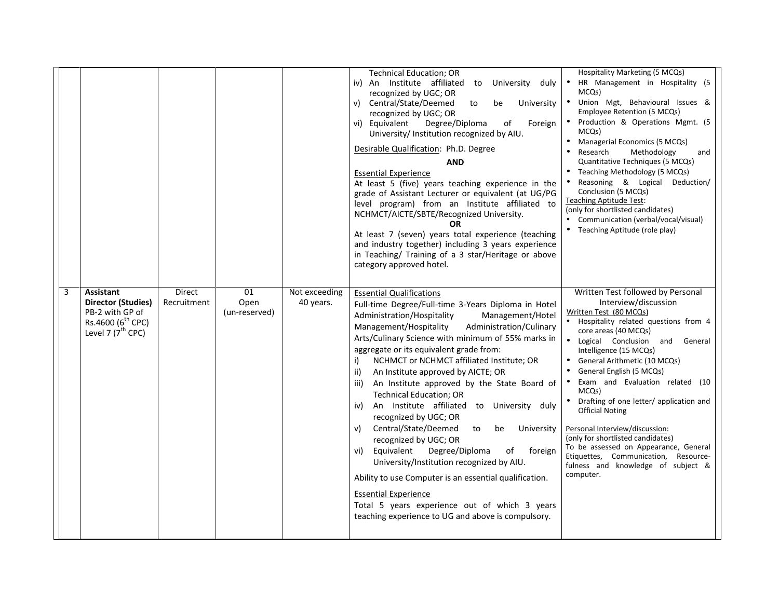| 3 | Direct<br><b>Assistant</b>                                                                                             | 01                    | Not exceeding | <b>Technical Education; OR</b><br>iv) An Institute affiliated to<br>University duly<br>recognized by UGC; OR<br>Central/State/Deemed<br>v)<br>to<br>be<br>University<br>recognized by UGC; OR<br>vi) Equivalent<br>Degree/Diploma<br>of<br>Foreign<br>University/ Institution recognized by AIU.<br>Desirable Qualification: Ph.D. Degree<br><b>AND</b><br><b>Essential Experience</b><br>At least 5 (five) years teaching experience in the<br>grade of Assistant Lecturer or equivalent (at UG/PG<br>level program) from an Institute affiliated to<br>NCHMCT/AICTE/SBTE/Recognized University.<br>OR<br>At least 7 (seven) years total experience (teaching<br>and industry together) including 3 years experience<br>in Teaching/ Training of a 3 star/Heritage or above<br>category approved hotel.<br><b>Essential Qualifications</b>                                                                              | Hospitality Marketing (5 MCQs)<br>HR Management in Hospitality (5<br>MCQs)<br>Union Mgt, Behavioural Issues &<br>Employee Retention (5 MCQs)<br>Production & Operations Mgmt. (5<br>MCQs)<br>Managerial Economics (5 MCQs)<br>Research<br>Methodology<br>and<br>Quantitative Techniques (5 MCQs)<br>Teaching Methodology (5 MCQs)<br>Reasoning & Logical Deduction/<br>Conclusion (5 MCQs)<br><b>Teaching Aptitude Test:</b><br>(only for shortlisted candidates)<br>• Communication (verbal/vocal/visual)<br>• Teaching Aptitude (role play)<br>Written Test followed by Personal     |
|---|------------------------------------------------------------------------------------------------------------------------|-----------------------|---------------|--------------------------------------------------------------------------------------------------------------------------------------------------------------------------------------------------------------------------------------------------------------------------------------------------------------------------------------------------------------------------------------------------------------------------------------------------------------------------------------------------------------------------------------------------------------------------------------------------------------------------------------------------------------------------------------------------------------------------------------------------------------------------------------------------------------------------------------------------------------------------------------------------------------------------|----------------------------------------------------------------------------------------------------------------------------------------------------------------------------------------------------------------------------------------------------------------------------------------------------------------------------------------------------------------------------------------------------------------------------------------------------------------------------------------------------------------------------------------------------------------------------------------|
|   | Director (Studies)<br>Recruitment<br>PB-2 with GP of<br>Rs.4600 (6 <sup>th</sup> CPC)<br>Level 7 $(7^{\text{th}}$ CPC) | Open<br>(un-reserved) | 40 years.     | Full-time Degree/Full-time 3-Years Diploma in Hotel<br>Administration/Hospitality<br>Management/Hotel<br>Management/Hospitality<br>Administration/Culinary<br>Arts/Culinary Science with minimum of 55% marks in<br>aggregate or its equivalent grade from:<br>NCHMCT or NCHMCT affiliated Institute; OR<br>i)<br>ii)<br>An Institute approved by AICTE; OR<br>iii)<br>An Institute approved by the State Board of<br><b>Technical Education; OR</b><br>An Institute affiliated to University duly<br>iv)<br>recognized by UGC; OR<br>Central/State/Deemed<br>v)<br>to<br>be<br>University<br>recognized by UGC; OR<br>Equivalent<br>Degree/Diploma<br>of<br>foreign<br>vi)<br>University/Institution recognized by AIU.<br>Ability to use Computer is an essential qualification.<br><b>Essential Experience</b><br>Total 5 years experience out of which 3 years<br>teaching experience to UG and above is compulsory. | Interview/discussion<br>Written Test (80 MCQs)<br>• Hospitality related questions from 4<br>core areas (40 MCQs)<br>. Logical Conclusion and General<br>Intelligence (15 MCQs)<br>General Arithmetic (10 MCQs)<br>General English (5 MCQs)<br>Exam and Evaluation related (10<br>MCQ <sub>S</sub> )<br>Drafting of one letter/ application and<br><b>Official Noting</b><br>Personal Interview/discussion:<br>(only for shortlisted candidates)<br>To be assessed on Appearance, General<br>Etiquettes, Communication,<br>Resource-<br>fulness and knowledge of subject &<br>computer. |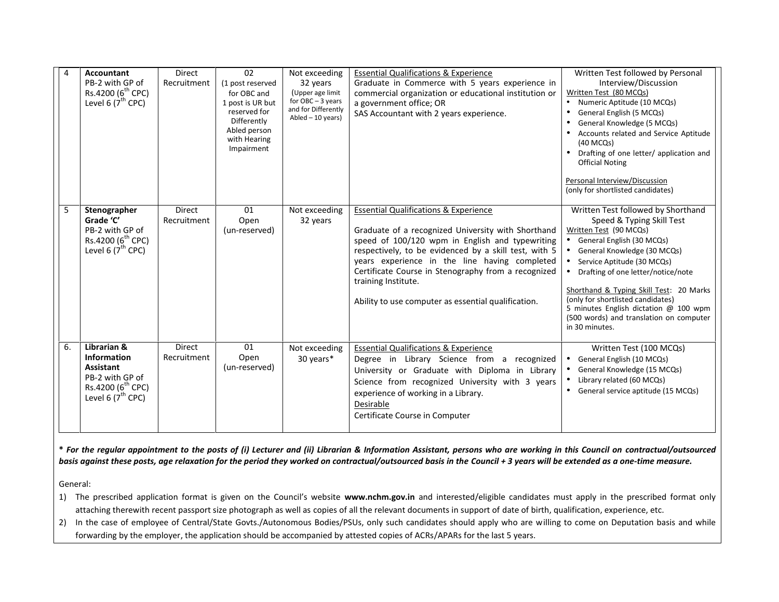|    | <b>Accountant</b><br>PB-2 with GP of<br>Rs.4200 (6 <sup>th</sup> CPC)<br>Level 6 $(7^{\text{th}}$ CPC)                           | <b>Direct</b><br>Recruitment | 02<br>(1 post reserved<br>for OBC and<br>1 post is UR but<br>reserved for<br>Differently<br>Abled person<br>with Hearing<br>Impairment | Not exceeding<br>32 years<br>(Upper age limit<br>for $OBC - 3$ years<br>and for Differently<br>Abled $-10$ years) | <b>Essential Qualifications &amp; Experience</b><br>Graduate in Commerce with 5 years experience in<br>commercial organization or educational institution or<br>a government office; OR<br>SAS Accountant with 2 years experience.                                                                                                                                                                       | Written Test followed by Personal<br>Interview/Discussion<br>Written Test (80 MCQs)<br>• Numeric Aptitude (10 MCQs)<br>General English (5 MCQs)<br>$\bullet$<br>General Knowledge (5 MCQs)<br>Accounts related and Service Aptitude<br>(40 MCQs)<br>• Drafting of one letter/ application and<br><b>Official Noting</b><br>Personal Interview/Discussion<br>(only for shortlisted candidates)                                      |
|----|----------------------------------------------------------------------------------------------------------------------------------|------------------------------|----------------------------------------------------------------------------------------------------------------------------------------|-------------------------------------------------------------------------------------------------------------------|----------------------------------------------------------------------------------------------------------------------------------------------------------------------------------------------------------------------------------------------------------------------------------------------------------------------------------------------------------------------------------------------------------|------------------------------------------------------------------------------------------------------------------------------------------------------------------------------------------------------------------------------------------------------------------------------------------------------------------------------------------------------------------------------------------------------------------------------------|
| 5  | Stenographer<br>Grade 'C'<br>PB-2 with GP of<br>Rs.4200 (6 <sup>th</sup> CPC)<br>Level 6 $(7^{\text{th}}$ CPC)                   | <b>Direct</b><br>Recruitment | 01<br>Open<br>(un-reserved)                                                                                                            | Not exceeding<br>32 years                                                                                         | <b>Essential Qualifications &amp; Experience</b><br>Graduate of a recognized University with Shorthand<br>speed of 100/120 wpm in English and typewriting<br>respectively, to be evidenced by a skill test, with 5<br>years experience in the line having completed<br>Certificate Course in Stenography from a recognized<br>training Institute.<br>Ability to use computer as essential qualification. | Written Test followed by Shorthand<br>Speed & Typing Skill Test<br>Written Test (90 MCQs)<br>• General English (30 MCQs)<br>• General Knowledge (30 MCQs)<br>• Service Aptitude (30 MCQs)<br>Drafting of one letter/notice/note<br>$\bullet$<br>Shorthand & Typing Skill Test: 20 Marks<br>(only for shortlisted candidates)<br>5 minutes English dictation @ 100 wpm<br>(500 words) and translation on computer<br>in 30 minutes. |
| 6. | Librarian &<br><b>Information</b><br><b>Assistant</b><br>PB-2 with GP of<br>Rs.4200 (6 <sup>th</sup> CPC)<br>Level 6 $(7th$ CPC) | <b>Direct</b><br>Recruitment | 01<br>Open<br>(un-reserved)                                                                                                            | Not exceeding<br>30 years*                                                                                        | <b>Essential Qualifications &amp; Experience</b><br>Degree in Library Science from a recognized<br>University or Graduate with Diploma in Library<br>Science from recognized University with 3 years<br>experience of working in a Library.<br>Desirable<br>Certificate Course in Computer                                                                                                               | Written Test (100 MCQs)<br>General English (10 MCQs)<br>$\bullet$<br>General Knowledge (15 MCQs)<br>$\bullet$<br>• Library related (60 MCQs)<br>• General service aptitude (15 MCQs)                                                                                                                                                                                                                                               |

\* For the regular appointment to the posts of (i) Lecturer and (ii) Librarian & Information Assistant, persons who are working in this Council on contractual/outsourced *basis against these posts, age relaxation for the period they worked on contractual/outsourced basis in the Council + 3 years will be extended as a one-time measure.*

General:

1) The prescribed application format is given on the Council's website **www.nchm.gov.in** and interested/eligible candidates must apply in the prescribed format only attaching therewith recent passport size photograph as well as copies of all the relevant documents in support of date of birth, qualification, experience, etc.

2) In the case of employee of Central/State Govts./Autonomous Bodies/PSUs, only such candidates should apply who are willing to come on Deputation basis and while forwarding by the employer, the application should be accompanied by attested copies of ACRs/APARs for the last 5 years.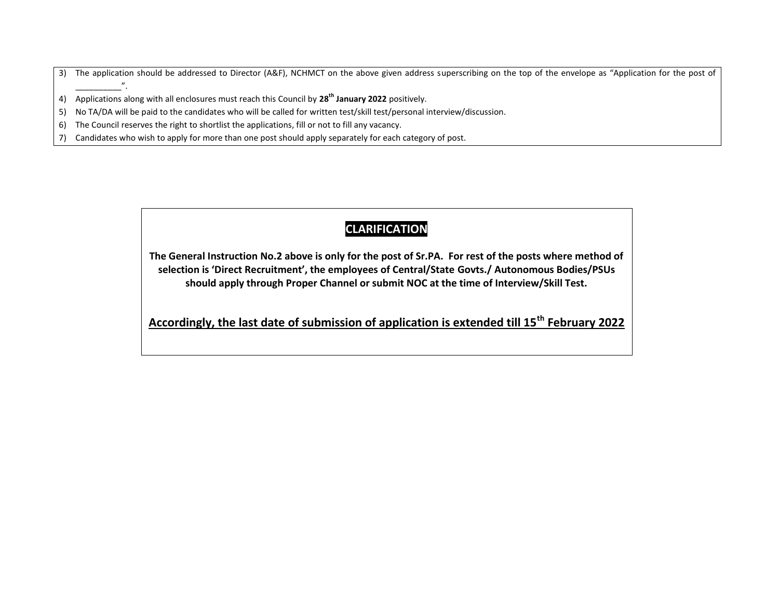3) The application should be addressed to Director (A&F), NCHMCT on the above given address superscribing on the top of the envelope as "Application for the post of  $\overline{v}$ .

4) Applications along with all enclosures must reach this Council by **28th January 2022** positively.

5) No TA/DA will be paid to the candidates who will be called for written test/skill test/personal interview/discussion.

6) The Council reserves the right to shortlist the applications, fill or not to fill any vacancy.

7) Candidates who wish to apply for more than one post should apply separately for each category of post.

### **CLARIFICATION**

**The General Instruction No.2 above is only for the post of Sr.PA. For rest of the posts where method of selection is 'Direct Recruitment', the employees of Central/State Govts./ Autonomous Bodies/PSUs should apply through Proper Channel or submit NOC at the time of Interview/Skill Test.**

**Accordingly, the last date of submission of application is extended till 15th February 2022**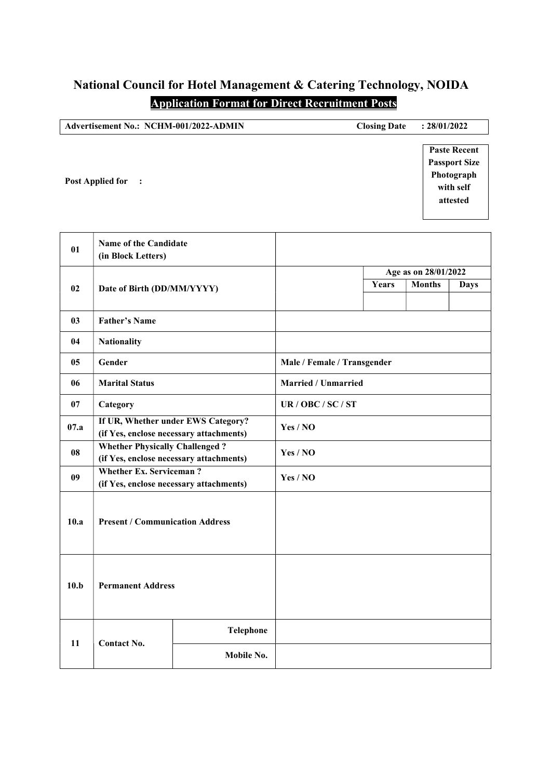# National Council for Hotel Management & Catering Technology, NOIDA

## Application Format for Direct Recruitment Posts

| Advertisement No.: NCHM-001/2022-ADMIN | <b>Closing Date</b> | : 28/01/2022                                                                       |
|----------------------------------------|---------------------|------------------------------------------------------------------------------------|
| <b>Post Applied for</b><br>$\cdot$ :   |                     | <b>Paste Recent</b><br><b>Passport Size</b><br>Photograph<br>with self<br>attested |

| 01             | Name of the Candidate<br>(in Block Letters) |                                                                               |                             |       |                      |             |  |
|----------------|---------------------------------------------|-------------------------------------------------------------------------------|-----------------------------|-------|----------------------|-------------|--|
|                |                                             |                                                                               |                             |       | Age as on 28/01/2022 |             |  |
| 02             | Date of Birth (DD/MM/YYYY)                  |                                                                               |                             | Years | <b>Months</b>        | <b>Days</b> |  |
| 03             | <b>Father's Name</b>                        |                                                                               |                             |       |                      |             |  |
| 04             | <b>Nationality</b>                          |                                                                               |                             |       |                      |             |  |
| 0 <sub>5</sub> | Gender                                      |                                                                               | Male / Female / Transgender |       |                      |             |  |
| 06             | <b>Marital Status</b>                       |                                                                               | <b>Married / Unmarried</b>  |       |                      |             |  |
| 07             | Category                                    |                                                                               | UR / OBC / SC / ST          |       |                      |             |  |
| 07.a           |                                             | If UR, Whether under EWS Category?<br>(if Yes, enclose necessary attachments) | Yes / NO                    |       |                      |             |  |
| 08             | <b>Whether Physically Challenged?</b>       | (if Yes, enclose necessary attachments)                                       | Yes / NO                    |       |                      |             |  |
| 09             | <b>Whether Ex. Serviceman?</b>              | (if Yes, enclose necessary attachments)                                       | Yes / NO                    |       |                      |             |  |
| 10.a           | <b>Present / Communication Address</b>      |                                                                               |                             |       |                      |             |  |
| 10.b           | <b>Permanent Address</b>                    |                                                                               |                             |       |                      |             |  |
|                |                                             | <b>Telephone</b>                                                              |                             |       |                      |             |  |
| 11             | <b>Contact No.</b>                          | Mobile No.                                                                    |                             |       |                      |             |  |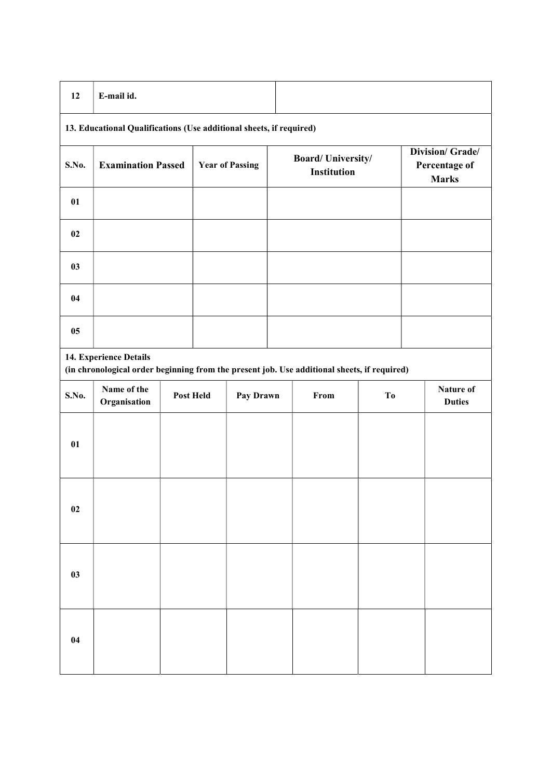| 12             | E-mail id.                                                                                                            |                  |                        |                                         |                |                                                   |
|----------------|-----------------------------------------------------------------------------------------------------------------------|------------------|------------------------|-----------------------------------------|----------------|---------------------------------------------------|
|                | 13. Educational Qualifications (Use additional sheets, if required)                                                   |                  |                        |                                         |                |                                                   |
| S.No.          | <b>Examination Passed</b>                                                                                             |                  | <b>Year of Passing</b> | <b>Board/University/</b><br>Institution |                | Division/ Grade/<br>Percentage of<br><b>Marks</b> |
| 01             |                                                                                                                       |                  |                        |                                         |                |                                                   |
| 02             |                                                                                                                       |                  |                        |                                         |                |                                                   |
| 0 <sub>3</sub> |                                                                                                                       |                  |                        |                                         |                |                                                   |
| 04             |                                                                                                                       |                  |                        |                                         |                |                                                   |
| 05             |                                                                                                                       |                  |                        |                                         |                |                                                   |
|                | 14. Experience Details<br>(in chronological order beginning from the present job. Use additional sheets, if required) |                  |                        |                                         |                |                                                   |
| S.No.          | Name of the<br>Organisation                                                                                           | <b>Post Held</b> | Pay Drawn              | From                                    | T <sub>0</sub> | <b>Nature of</b><br><b>Duties</b>                 |

| <b>DITO.</b> | Organisation | 1 ost fittu | Lay Diawn | ттош | $\mathbf{v}$ | <b>Duties</b> |
|--------------|--------------|-------------|-----------|------|--------------|---------------|
| 01           |              |             |           |      |              |               |
| 02           |              |             |           |      |              |               |
| 03           |              |             |           |      |              |               |
| 04           |              |             |           |      |              |               |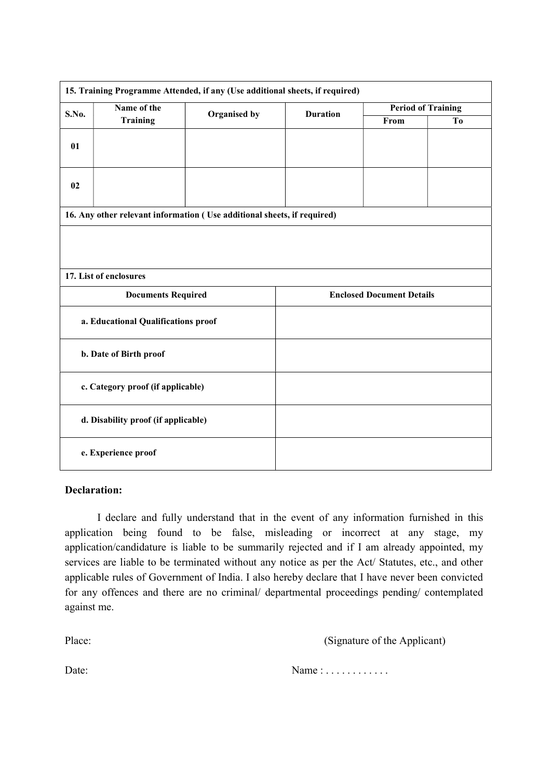|                                   | 15. Training Programme Attended, if any (Use additional sheets, if required) |              |                 |                                  |                |  |
|-----------------------------------|------------------------------------------------------------------------------|--------------|-----------------|----------------------------------|----------------|--|
| S.No.                             | Name of the                                                                  | Organised by | <b>Duration</b> | <b>Period of Training</b>        |                |  |
|                                   | Training                                                                     |              |                 | From                             | T <sub>o</sub> |  |
| 01                                |                                                                              |              |                 |                                  |                |  |
| 02                                |                                                                              |              |                 |                                  |                |  |
|                                   | 16. Any other relevant information (Use additional sheets, if required)      |              |                 |                                  |                |  |
|                                   | 17. List of enclosures                                                       |              |                 |                                  |                |  |
|                                   | <b>Documents Required</b>                                                    |              |                 | <b>Enclosed Document Details</b> |                |  |
|                                   | a. Educational Qualifications proof                                          |              |                 |                                  |                |  |
|                                   | b. Date of Birth proof                                                       |              |                 |                                  |                |  |
| c. Category proof (if applicable) |                                                                              |              |                 |                                  |                |  |
|                                   | d. Disability proof (if applicable)                                          |              |                 |                                  |                |  |
|                                   | e. Experience proof                                                          |              |                 |                                  |                |  |

#### Declaration:

I declare and fully understand that in the event of any information furnished in this application being found to be false, misleading or incorrect at any stage, my application/candidature is liable to be summarily rejected and if I am already appointed, my services are liable to be terminated without any notice as per the Act/ Statutes, etc., and other applicable rules of Government of India. I also hereby declare that I have never been convicted for any offences and there are no criminal/ departmental proceedings pending/ contemplated against me.

Place: (Signature of the Applicant) Date: Name : . . . . . . . . . . . .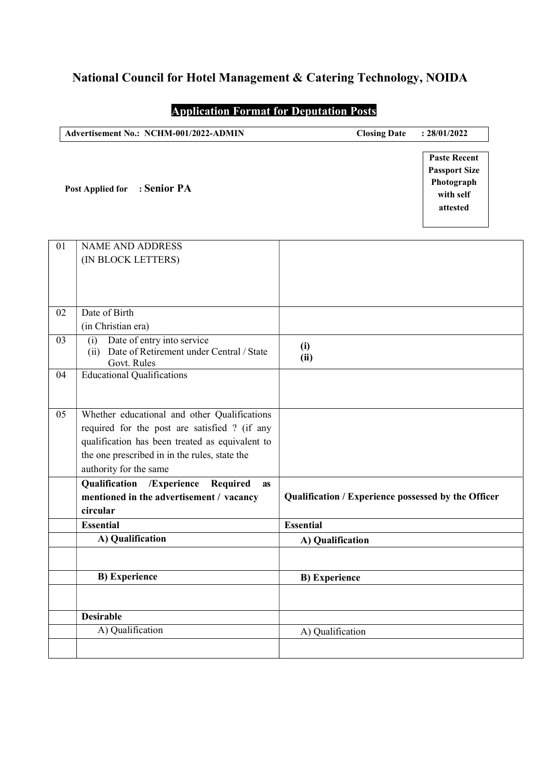### National Council for Hotel Management & Catering Technology, NOIDA

### Application Format for Deputation Posts

| Advertisement No.: NCHM-001/2022-ADMIN | : 28/01/2022<br><b>Closing Date</b>         |
|----------------------------------------|---------------------------------------------|
|                                        | <b>Paste Recent</b><br><b>Passport Size</b> |
| Post Applied for : Senior PA           | Photograph<br>with self<br>attested         |

| 01 | <b>NAME AND ADDRESS</b>                                                                           |                                                     |
|----|---------------------------------------------------------------------------------------------------|-----------------------------------------------------|
|    | (IN BLOCK LETTERS)                                                                                |                                                     |
|    |                                                                                                   |                                                     |
|    |                                                                                                   |                                                     |
|    |                                                                                                   |                                                     |
| 02 | Date of Birth                                                                                     |                                                     |
|    | (in Christian era)                                                                                |                                                     |
| 03 | Date of entry into service<br>(i)<br>(ii) Date of Retirement under Central / State<br>Govt. Rules | (i)<br>(ii)                                         |
| 04 | <b>Educational Qualifications</b>                                                                 |                                                     |
|    |                                                                                                   |                                                     |
|    |                                                                                                   |                                                     |
| 05 | Whether educational and other Qualifications                                                      |                                                     |
|    | required for the post are satisfied ? (if any                                                     |                                                     |
|    | qualification has been treated as equivalent to                                                   |                                                     |
|    | the one prescribed in in the rules, state the                                                     |                                                     |
|    | authority for the same                                                                            |                                                     |
|    | /Experience<br>Qualification<br>Required<br><b>as</b>                                             |                                                     |
|    | mentioned in the advertisement / vacancy                                                          | Qualification / Experience possessed by the Officer |
|    | circular                                                                                          |                                                     |
|    | <b>Essential</b>                                                                                  | <b>Essential</b>                                    |
|    | A) Qualification                                                                                  | A) Qualification                                    |
|    |                                                                                                   |                                                     |
|    | <b>B)</b> Experience                                                                              | <b>B)</b> Experience                                |
|    |                                                                                                   |                                                     |
|    |                                                                                                   |                                                     |
|    | <b>Desirable</b>                                                                                  |                                                     |
|    | A) Qualification                                                                                  | A) Qualification                                    |
|    |                                                                                                   |                                                     |
|    |                                                                                                   |                                                     |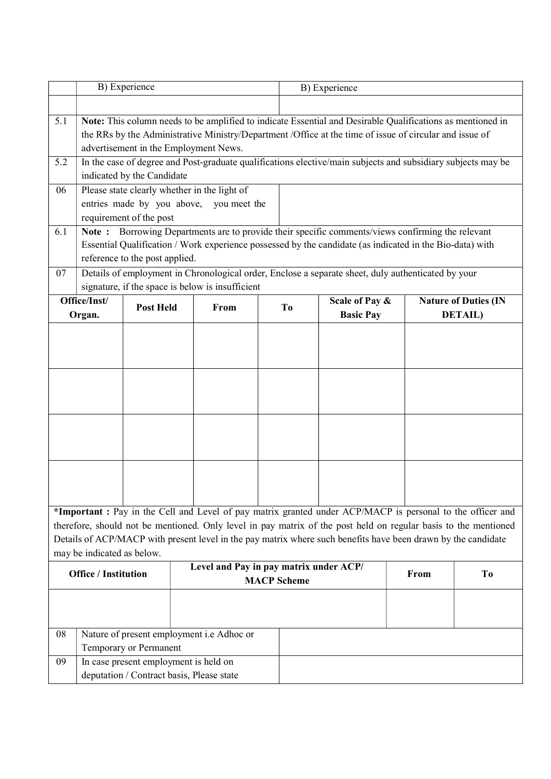| B) Experience                                   |                                                                                                                                                                                                                                                                                                                                    |                                |                                                                                                                                                                                                                                  |    | B) Experience                                                                                             |      |                                                |  |
|-------------------------------------------------|------------------------------------------------------------------------------------------------------------------------------------------------------------------------------------------------------------------------------------------------------------------------------------------------------------------------------------|--------------------------------|----------------------------------------------------------------------------------------------------------------------------------------------------------------------------------------------------------------------------------|----|-----------------------------------------------------------------------------------------------------------|------|------------------------------------------------|--|
|                                                 |                                                                                                                                                                                                                                                                                                                                    |                                |                                                                                                                                                                                                                                  |    |                                                                                                           |      |                                                |  |
| 5.1                                             | Note: This column needs to be amplified to indicate Essential and Desirable Qualifications as mentioned in<br>the RRs by the Administrative Ministry/Department /Office at the time of issue of circular and issue of<br>advertisement in the Employment News.                                                                     |                                |                                                                                                                                                                                                                                  |    |                                                                                                           |      |                                                |  |
| 5.2                                             |                                                                                                                                                                                                                                                                                                                                    | indicated by the Candidate     | In the case of degree and Post-graduate qualifications elective/main subjects and subsidiary subjects may be                                                                                                                     |    |                                                                                                           |      |                                                |  |
| 06<br>6.1                                       | Please state clearly whether in the light of<br>entries made by you above, you meet the<br>requirement of the post<br>Note: Borrowing Departments are to provide their specific comments/views confirming the relevant<br>Essential Qualification / Work experience possessed by the candidate (as indicated in the Bio-data) with |                                |                                                                                                                                                                                                                                  |    |                                                                                                           |      |                                                |  |
| 07                                              |                                                                                                                                                                                                                                                                                                                                    | reference to the post applied. | Details of employment in Chronological order, Enclose a separate sheet, duly authenticated by your                                                                                                                               |    |                                                                                                           |      |                                                |  |
|                                                 |                                                                                                                                                                                                                                                                                                                                    |                                | signature, if the space is below is insufficient                                                                                                                                                                                 |    |                                                                                                           |      |                                                |  |
|                                                 | Office/Inst/<br>Organ.                                                                                                                                                                                                                                                                                                             | <b>Post Held</b>               | From                                                                                                                                                                                                                             | To | Scale of Pay &<br><b>Basic Pay</b>                                                                        |      | <b>Nature of Duties (IN</b><br><b>DETAIL</b> ) |  |
|                                                 |                                                                                                                                                                                                                                                                                                                                    |                                |                                                                                                                                                                                                                                  |    | *Important: Pay in the Cell and Level of pay matrix granted under ACP/MACP is personal to the officer and |      |                                                |  |
|                                                 | may be indicated as below.                                                                                                                                                                                                                                                                                                         |                                | therefore, should not be mentioned. Only level in pay matrix of the post held on regular basis to the mentioned<br>Details of ACP/MACP with present level in the pay matrix where such benefits have been drawn by the candidate |    |                                                                                                           |      |                                                |  |
|                                                 | Level and Pay in pay matrix under ACP/<br><b>Office / Institution</b><br><b>MACP</b> Scheme                                                                                                                                                                                                                                        |                                |                                                                                                                                                                                                                                  |    |                                                                                                           | From | T <sub>0</sub>                                 |  |
| Nature of present employment i.e Adhoc or<br>08 |                                                                                                                                                                                                                                                                                                                                    |                                |                                                                                                                                                                                                                                  |    |                                                                                                           |      |                                                |  |
| 09                                              | Temporary or Permanent<br>In case present employment is held on<br>deputation / Contract basis, Please state                                                                                                                                                                                                                       |                                |                                                                                                                                                                                                                                  |    |                                                                                                           |      |                                                |  |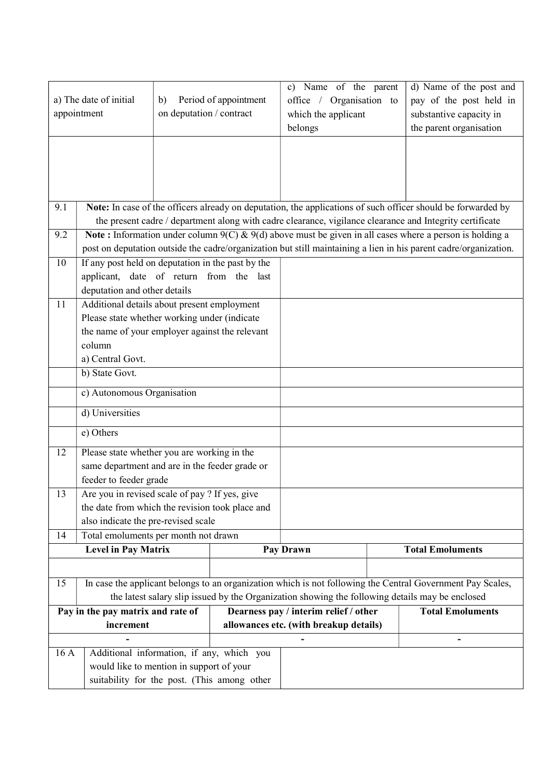| a) The date of initial<br>b)<br>appointment    |                                                                                                                                                         | on deputation / contract | Period of appointment | Name of the parent<br>$\mathbf{c})$<br>office / Organisation to<br>which the applicant<br>belongs | d) Name of the post and<br>pay of the post held in<br>substantive capacity in<br>the parent organisation                                                                                                                        |
|------------------------------------------------|---------------------------------------------------------------------------------------------------------------------------------------------------------|--------------------------|-----------------------|---------------------------------------------------------------------------------------------------|---------------------------------------------------------------------------------------------------------------------------------------------------------------------------------------------------------------------------------|
|                                                |                                                                                                                                                         |                          |                       |                                                                                                   |                                                                                                                                                                                                                                 |
| 9.1                                            |                                                                                                                                                         |                          |                       |                                                                                                   | Note: In case of the officers already on deputation, the applications of such officer should be forwarded by<br>the present cadre / department along with cadre clearance, vigilance clearance and Integrity certificate        |
| 9.2                                            |                                                                                                                                                         |                          |                       |                                                                                                   | Note: Information under column $9(C)$ & $9(d)$ above must be given in all cases where a person is holding a<br>post on deputation outside the cadre/organization but still maintaining a lien in his parent cadre/organization. |
| 10                                             | If any post held on deputation in the past by the<br>applicant, date of return from the last<br>deputation and other details                            |                          |                       |                                                                                                   |                                                                                                                                                                                                                                 |
| 11                                             | Additional details about present employment<br>Please state whether working under (indicate<br>the name of your employer against the relevant<br>column |                          |                       |                                                                                                   |                                                                                                                                                                                                                                 |
|                                                | a) Central Govt.<br>b) State Govt.                                                                                                                      |                          |                       |                                                                                                   |                                                                                                                                                                                                                                 |
|                                                | c) Autonomous Organisation                                                                                                                              |                          |                       |                                                                                                   |                                                                                                                                                                                                                                 |
|                                                | d) Universities<br>e) Others                                                                                                                            |                          |                       |                                                                                                   |                                                                                                                                                                                                                                 |
| 12                                             | Please state whether you are working in the                                                                                                             |                          |                       |                                                                                                   |                                                                                                                                                                                                                                 |
|                                                | same department and are in the feeder grade or<br>feeder to feeder grade                                                                                |                          |                       |                                                                                                   |                                                                                                                                                                                                                                 |
| 13                                             | Are you in revised scale of pay ? If yes, give<br>the date from which the revision took place and<br>also indicate the pre-revised scale                |                          |                       |                                                                                                   |                                                                                                                                                                                                                                 |
| 14                                             | Total emoluments per month not drawn                                                                                                                    |                          |                       |                                                                                                   |                                                                                                                                                                                                                                 |
|                                                | <b>Level in Pay Matrix</b>                                                                                                                              |                          |                       | Pay Drawn                                                                                         | <b>Total Emoluments</b>                                                                                                                                                                                                         |
| 15                                             |                                                                                                                                                         |                          |                       | the latest salary slip issued by the Organization showing the following details may be enclosed   | In case the applicant belongs to an organization which is not following the Central Government Pay Scales,                                                                                                                      |
| Pay in the pay matrix and rate of<br>increment |                                                                                                                                                         |                          |                       | Dearness pay / interim relief / other<br>allowances etc. (with breakup details)                   | <b>Total Emoluments</b>                                                                                                                                                                                                         |
|                                                |                                                                                                                                                         |                          |                       |                                                                                                   | -                                                                                                                                                                                                                               |
| 16A                                            | Additional information, if any, which you<br>would like to mention in support of your<br>suitability for the post. (This among other                    |                          |                       |                                                                                                   |                                                                                                                                                                                                                                 |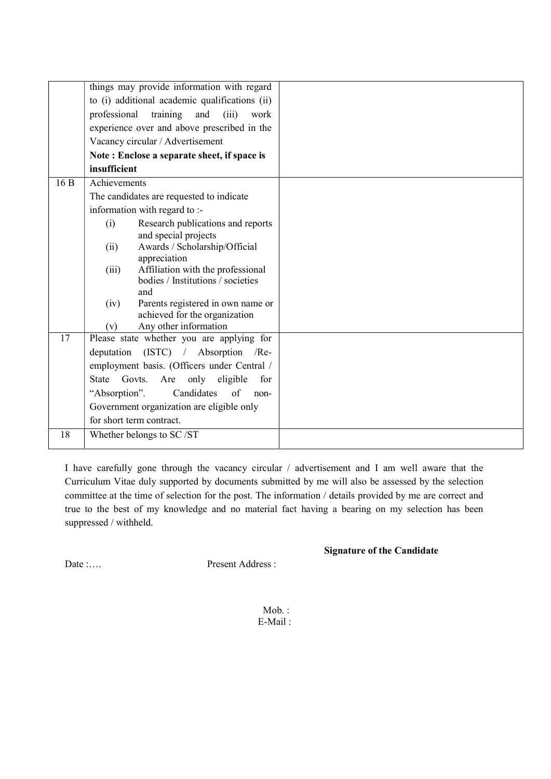|     | things may provide information with regard                 |  |
|-----|------------------------------------------------------------|--|
|     | to (i) additional academic qualifications (ii)             |  |
|     | professional<br>training<br>and<br>(iii)<br>work           |  |
|     | experience over and above prescribed in the                |  |
|     | Vacancy circular / Advertisement                           |  |
|     | Note: Enclose a separate sheet, if space is                |  |
|     | insufficient                                               |  |
| 16B | Achievements                                               |  |
|     | The candidates are requested to indicate                   |  |
|     | information with regard to :-                              |  |
|     | Research publications and reports<br>(i)                   |  |
|     | and special projects                                       |  |
|     | Awards / Scholarship/Official<br>(ii)                      |  |
|     | appreciation<br>Affiliation with the professional<br>(iii) |  |
|     | bodies / Institutions / societies                          |  |
|     | and                                                        |  |
|     | Parents registered in own name or<br>(iv)                  |  |
|     | achieved for the organization                              |  |
| 17  | Any other information<br>(v)                               |  |
|     | Please state whether you are applying for                  |  |
|     | $(ISTC)$ / Absorption /Re-<br>deputation                   |  |
|     | employment basis. (Officers under Central /                |  |
|     | Govts.<br>Are<br>only<br>eligible<br>State<br>for          |  |
|     | "Absorption".<br>Candidates<br>of<br>non-                  |  |
|     | Government organization are eligible only                  |  |
|     | for short term contract.                                   |  |
| 18  | Whether belongs to SC/ST                                   |  |
|     |                                                            |  |

I have carefully gone through the vacancy circular / advertisement and I am well aware that the Curriculum Vitae duly supported by documents submitted by me will also be assessed by the selection committee at the time of selection for the post. The information / details provided by me are correct and true to the best of my knowledge and no material fact having a bearing on my selection has been suppressed / withheld.

Signature of the Candidate

Date :.... Present Address :

Mob. : E-Mail :